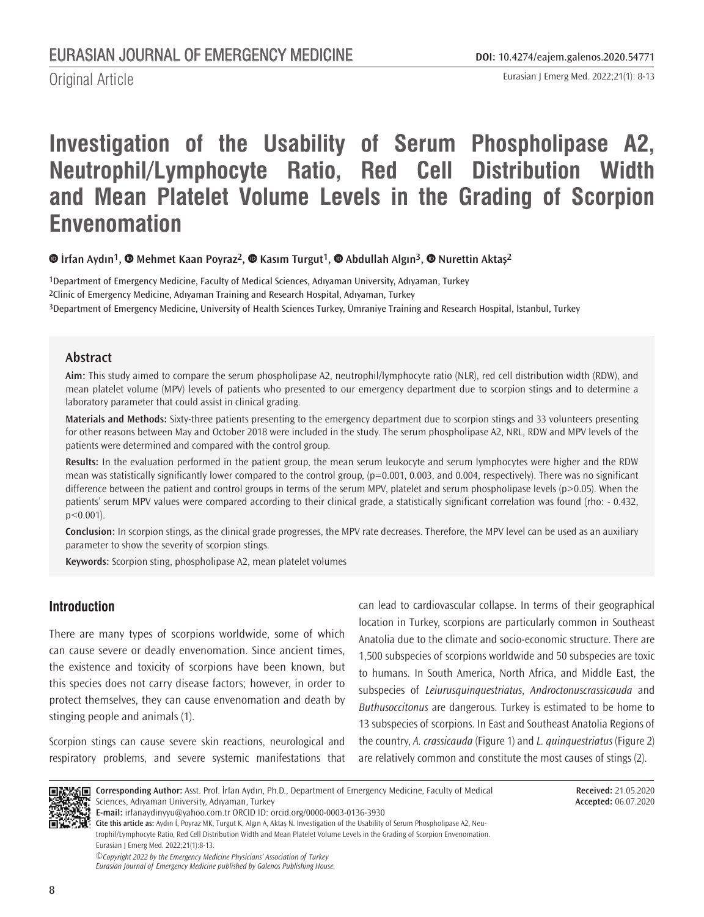Original Article

# **Investigation of the Usability of Serum Phospholipase A2, Neutrophil/Lymphocyte Ratio, Red Cell Distribution Width and Mean Platelet Volume Levels in the Grading of Scorpion Envenomation**

**İrfan Aydın1,Mehmet Kaan Poyraz2,Kasım Turgut1,Abdullah Algın3,Nurettin Aktaş2**

1Department of Emergency Medicine, Faculty of Medical Sciences, Adıyaman University, Adıyaman, Turkey 2Clinic of Emergency Medicine, Adıyaman Training and Research Hospital, Adıyaman, Turkey 3Department of Emergency Medicine, University of Health Sciences Turkey, Ümraniye Training and Research Hospital, İstanbul, Turkey

#### **Abstract**

**Aim:** This study aimed to compare the serum phospholipase A2, neutrophil/lymphocyte ratio (NLR), red cell distribution width (RDW), and mean platelet volume (MPV) levels of patients who presented to our emergency department due to scorpion stings and to determine a laboratory parameter that could assist in clinical grading.

**Materials and Methods:** Sixty-three patients presenting to the emergency department due to scorpion stings and 33 volunteers presenting for other reasons between May and October 2018 were included in the study. The serum phospholipase A2, NRL, RDW and MPV levels of the patients were determined and compared with the control group.

**Results:** In the evaluation performed in the patient group, the mean serum leukocyte and serum lymphocytes were higher and the RDW mean was statistically significantly lower compared to the control group, (p=0.001, 0.003, and 0.004, respectively). There was no significant difference between the patient and control groups in terms of the serum MPV, platelet and serum phospholipase levels (p>0.05). When the patients' serum MPV values were compared according to their clinical grade, a statistically significant correlation was found (rho: - 0.432,  $p < 0.001$ ).

**Conclusion:** In scorpion stings, as the clinical grade progresses, the MPV rate decreases. Therefore, the MPV level can be used as an auxiliary parameter to show the severity of scorpion stings.

**Keywords:** Scorpion sting, phospholipase A2, mean platelet volumes

# **Introduction**

There are many types of scorpions worldwide, some of which can cause severe or deadly envenomation. Since ancient times, the existence and toxicity of scorpions have been known, but this species does not carry disease factors; however, in order to protect themselves, they can cause envenomation and death by stinging people and animals (1).

Scorpion stings can cause severe skin reactions, neurological and respiratory problems, and severe systemic manifestations that can lead to cardiovascular collapse. In terms of their geographical location in Turkey, scorpions are particularly common in Southeast Anatolia due to the climate and socio-economic structure. There are 1,500 subspecies of scorpions worldwide and 50 subspecies are toxic to humans. In South America, North Africa, and Middle East, the subspecies of *Leiurusquinquestriatus*, *Androctonuscrassicauda* and *Buthusoccitonus* are dangerous. Turkey is estimated to be home to 13 subspecies of scorpions. In East and Southeast Anatolia Regions of the country, *A. crassicauda* (Figure 1) and *L. quinquestriatus* (Figure 2) are relatively common and constitute the most causes of stings (2).



**Corresponding Author:** Asst. Prof. İrfan Aydın, Ph.D., Department of Emergency Medicine, Faculty of Medical Sciences, Adıyaman University, Adıyaman, Turkey

**Received:** 21.05.2020 **Accepted:** 06.07.2020

**E-mail:** irfanaydinyyu@yahoo.com.tr ORCID ID: orcid.org/0000-0003-0136-3930

**Cite this article as:** Aydın İ, Poyraz MK, Turgut K, Algın A, Aktaş N. Investigation of the Usability of Serum Phospholipase A2, Neutrophil/Lymphocyte Ratio, Red Cell Distribution Width and Mean Platelet Volume Levels in the Grading of Scorpion Envenomation. Eurasian J Emerg Med. 2022;21(1):8-13.

*©Copyright 2022 by the Emergency Medicine Physicians' Association of Turkey Eurasian Journal of Emergency Medicine published by Galenos Publishing House.*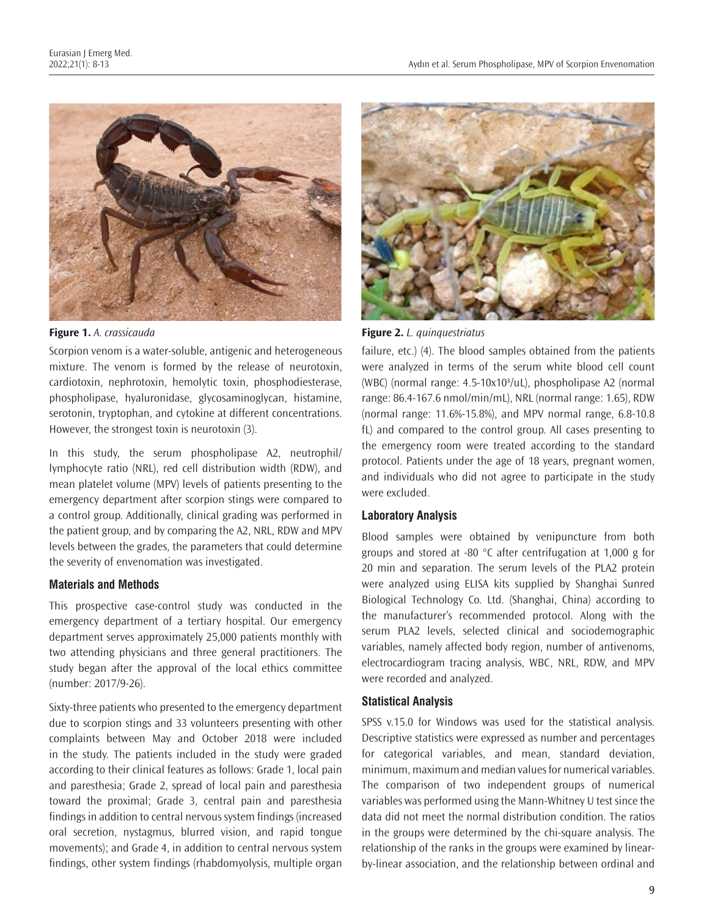

Scorpion venom is a water-soluble, antigenic and heterogeneous mixture. The venom is formed by the release of neurotoxin, cardiotoxin, nephrotoxin, hemolytic toxin, phosphodiesterase, phospholipase, hyaluronidase, glycosaminoglycan, histamine, serotonin, tryptophan, and cytokine at different concentrations. However, the strongest toxin is neurotoxin (3).

In this study, the serum phospholipase A2, neutrophil/ lymphocyte ratio (NRL), red cell distribution width (RDW), and mean platelet volume (MPV) levels of patients presenting to the emergency department after scorpion stings were compared to a control group. Additionally, clinical grading was performed in the patient group, and by comparing the A2, NRL, RDW and MPV levels between the grades, the parameters that could determine the severity of envenomation was investigated.

#### **Materials and Methods**

This prospective case-control study was conducted in the emergency department of a tertiary hospital. Our emergency department serves approximately 25,000 patients monthly with two attending physicians and three general practitioners. The study began after the approval of the local ethics committee (number: 2017/9-26).

Sixty-three patients who presented to the emergency department due to scorpion stings and 33 volunteers presenting with other complaints between May and October 2018 were included in the study. The patients included in the study were graded according to their clinical features as follows: Grade 1, local pain and paresthesia; Grade 2, spread of local pain and paresthesia toward the proximal; Grade 3, central pain and paresthesia findings in addition to central nervous system findings (increased oral secretion, nystagmus, blurred vision, and rapid tongue movements); and Grade 4, in addition to central nervous system findings, other system findings (rhabdomyolysis, multiple organ



**Figure 1.** *A. crassicauda* **Figure 2.** *L. quinquestriatus*

failure, etc.) (4). The blood samples obtained from the patients were analyzed in terms of the serum white blood cell count (WBC) (normal range: 4.5-10x10<sup>3</sup>/uL), phospholipase A2 (normal range: 86.4-167.6 nmol/min/mL), NRL (normal range: 1.65), RDW (normal range: 11.6%-15.8%), and MPV normal range, 6.8-10.8 fL) and compared to the control group. All cases presenting to the emergency room were treated according to the standard protocol. Patients under the age of 18 years, pregnant women, and individuals who did not agree to participate in the study were excluded.

## **Laboratory Analysis**

Blood samples were obtained by venipuncture from both groups and stored at -80 °C after centrifugation at 1,000 g for 20 min and separation. The serum levels of the PLA2 protein were analyzed using ELISA kits supplied by Shanghai Sunred Biological Technology Co. Ltd. (Shanghai, China) according to the manufacturer's recommended protocol. Along with the serum PLA2 levels, selected clinical and sociodemographic variables, namely affected body region, number of antivenoms, electrocardiogram tracing analysis, WBC, NRL, RDW, and MPV were recorded and analyzed.

## **Statistical Analysis**

SPSS v.15.0 for Windows was used for the statistical analysis. Descriptive statistics were expressed as number and percentages for categorical variables, and mean, standard deviation, minimum, maximum and median values for numerical variables. The comparison of two independent groups of numerical variables was performed using the Mann-Whitney U test since the data did not meet the normal distribution condition. The ratios in the groups were determined by the chi-square analysis. The relationship of the ranks in the groups were examined by linearby-linear association, and the relationship between ordinal and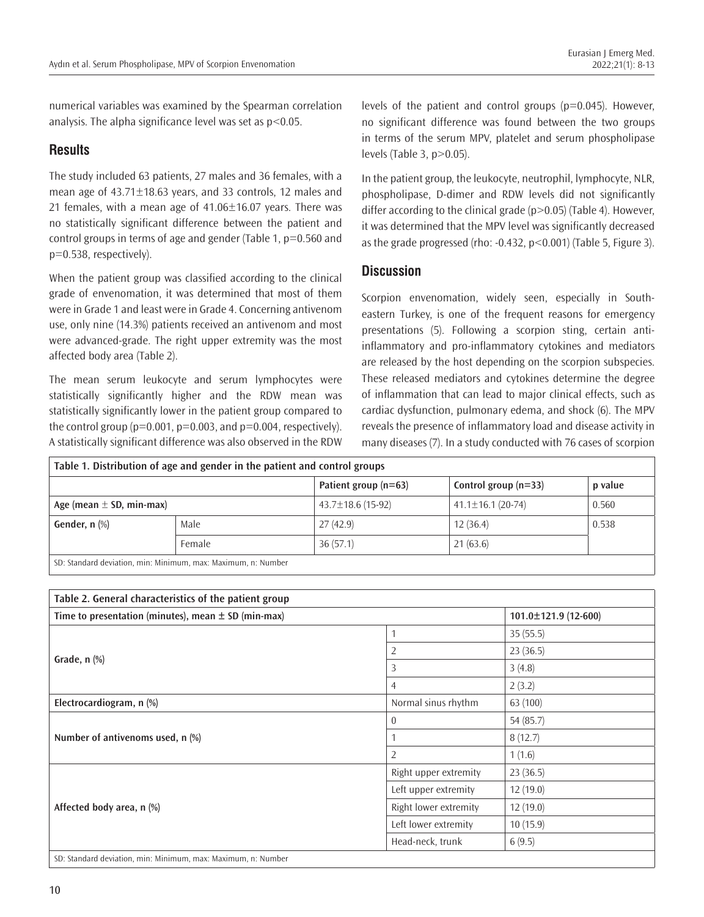numerical variables was examined by the Spearman correlation analysis. The alpha significance level was set as p<0.05.

## **Results**

The study included 63 patients, 27 males and 36 females, with a mean age of 43.71±18.63 years, and 33 controls, 12 males and 21 females, with a mean age of  $41.06 \pm 16.07$  years. There was no statistically significant difference between the patient and control groups in terms of age and gender (Table 1, p=0.560 and p=0.538, respectively).

When the patient group was classified according to the clinical grade of envenomation, it was determined that most of them were in Grade 1 and least were in Grade 4. Concerning antivenom use, only nine (14.3%) patients received an antivenom and most were advanced-grade. The right upper extremity was the most affected body area (Table 2).

The mean serum leukocyte and serum lymphocytes were statistically significantly higher and the RDW mean was statistically significantly lower in the patient group compared to the control group ( $p=0.001$ ,  $p=0.003$ , and  $p=0.004$ , respectively). A statistically significant difference was also observed in the RDW levels of the patient and control groups (p=0.045). However, no significant difference was found between the two groups in terms of the serum MPV, platelet and serum phospholipase levels (Table 3, p>0.05).

In the patient group, the leukocyte, neutrophil, lymphocyte, NLR, phospholipase, D-dimer and RDW levels did not significantly differ according to the clinical grade  $(p>0.05)$  (Table 4). However, it was determined that the MPV level was significantly decreased as the grade progressed (rho: -0.432, p<0.001) (Table 5, Figure 3).

#### **Discussion**

Scorpion envenomation, widely seen, especially in Southeastern Turkey, is one of the frequent reasons for emergency presentations (5). Following a scorpion sting, certain antiinflammatory and pro-inflammatory cytokines and mediators are released by the host depending on the scorpion subspecies. These released mediators and cytokines determine the degree of inflammation that can lead to major clinical effects, such as cardiac dysfunction, pulmonary edema, and shock (6). The MPV reveals the presence of inflammatory load and disease activity in many diseases (7). In a study conducted with 76 cases of scorpion

| Table 1. Distribution of age and gender in the patient and control groups |        |                         |                         |         |  |
|---------------------------------------------------------------------------|--------|-------------------------|-------------------------|---------|--|
|                                                                           |        | Patient group $(n=63)$  | Control group $(n=33)$  | p value |  |
| Age (mean $\pm$ SD, min-max)                                              |        | $43.7 \pm 18.6$ (15-92) | $41.1 \pm 16.1$ (20-74) | 0.560   |  |
| Gender, n (%)                                                             | Male   | 27(42.9)                | 12(36.4)                | 0.538   |  |
|                                                                           | Female | 36(57.1)                | 21(63.6)                |         |  |
| CD: Chandard dovintion min: Minimum may Mayimum n; Number                 |        |                         |                         |         |  |

D: Standard deviation, min: Minimum, max: Maximum, n: Number

| Table 2. General characteristics of the patient group         |                       |           |
|---------------------------------------------------------------|-----------------------|-----------|
| Time to presentation (minutes), mean $\pm$ SD (min-max)       | 101.0±121.9 (12-600)  |           |
|                                                               | $\mathbf{1}$          | 35(55.5)  |
|                                                               | $\overline{2}$        | 23(36.5)  |
| Grade, $n$ $%$                                                | 3                     | 3(4.8)    |
|                                                               | $\overline{4}$        | 2(3.2)    |
| Electrocardiogram, n (%)                                      | Normal sinus rhythm   | 63 (100)  |
|                                                               | $\overline{0}$        | 54 (85.7) |
| Number of antivenoms used, n (%)                              |                       | 8(12.7)   |
|                                                               | $\overline{2}$        | 1(1.6)    |
|                                                               | Right upper extremity | 23(36.5)  |
|                                                               | Left upper extremity  | 12(19.0)  |
| Affected body area, n (%)                                     | Right lower extremity | 12(19.0)  |
|                                                               | Left lower extremity  | 10(15.9)  |
|                                                               | Head-neck, trunk      | 6(9.5)    |
| SD: Standard deviation, min: Minimum, max: Maximum, n: Number |                       |           |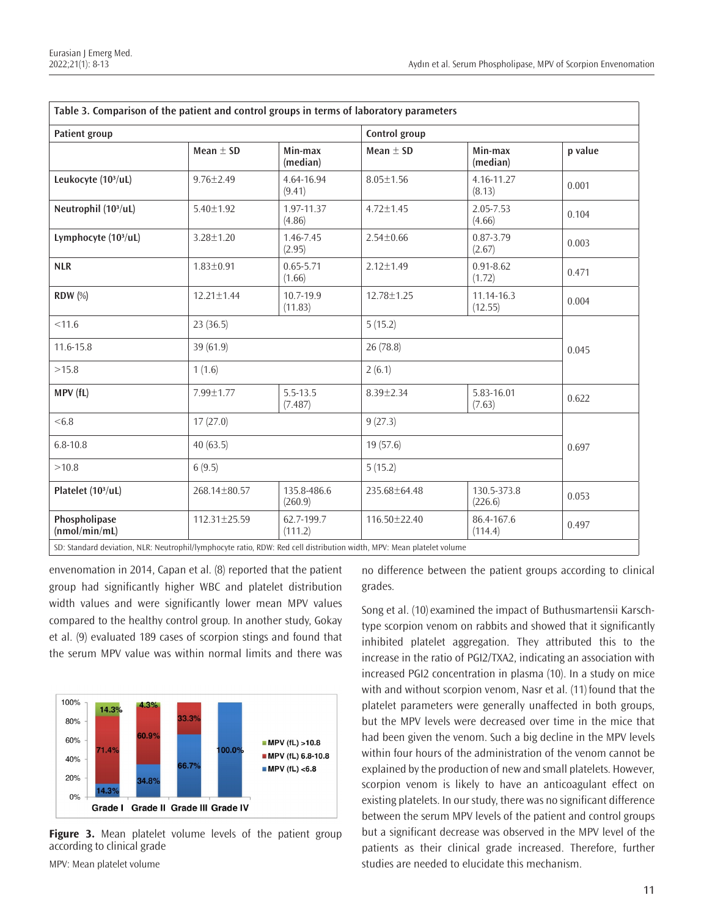| <b>Patient group</b>             |                  |                         | Control group    |                         |         |  |
|----------------------------------|------------------|-------------------------|------------------|-------------------------|---------|--|
|                                  | Mean $\pm$ SD    | Min-max<br>(median)     | Mean $+$ SD      | Min-max<br>(median)     | p value |  |
| Leukocyte (10 <sup>3</sup> /uL)  | $9.76 \pm 2.49$  | 4.64-16.94<br>(9.41)    | $8.05 \pm 1.56$  | 4.16-11.27<br>(8.13)    | 0.001   |  |
| Neutrophil (10 <sup>3</sup> /uL) | $5.40 \pm 1.92$  | 1.97-11.37<br>(4.86)    | $4.72 \pm 1.45$  | 2.05-7.53<br>(4.66)     | 0.104   |  |
| Lymphocyte (10 <sup>3</sup> /uL) | 3.28±1.20        | 1.46-7.45<br>(2.95)     | $2.54 \pm 0.66$  | 0.87-3.79<br>(2.67)     | 0.003   |  |
| <b>NLR</b>                       | $1.83 \pm 0.91$  | $0.65 - 5.71$<br>(1.66) | $2.12 \pm 1.49$  | $0.91 - 8.62$<br>(1.72) | 0.471   |  |
| <b>RDW</b> (%)                   | $12.21 \pm 1.44$ | 10.7-19.9<br>(11.83)    | $12.78 \pm 1.25$ | 11.14-16.3<br>(12.55)   | 0.004   |  |
| < 11.6                           | 23(36.5)         |                         |                  | 5(15.2)                 |         |  |
| 11.6-15.8                        | 39 (61.9)        |                         |                  | 26 (78.8)               |         |  |
| >15.8                            | 1(1.6)           |                         |                  | 2(6.1)                  |         |  |
| MPV (fL)                         | 7.99±1.77        | 5.5-13.5<br>(7.487)     | $8.39 \pm 2.34$  | 5.83-16.01<br>(7.63)    | 0.622   |  |
| <6.8                             | 17(27.0)         |                         |                  | 9(27.3)                 |         |  |
| $6.8 - 10.8$                     | 40(63.5)         |                         |                  | 19(57.6)                |         |  |
| >10.8                            | 6(9.5)           |                         |                  | 5(15.2)                 |         |  |
| Platelet (10 <sup>3</sup> /uL)   | 268.14±80.57     | 135.8-486.6<br>(260.9)  | 235.68±64.48     | 130.5-373.8<br>(226.6)  | 0.053   |  |
| Phospholipase<br>(nmol/min/mL)   | 112.31±25.59     | 62.7-199.7<br>(111.2)   | 116.50 ± 22.40   | 86.4-167.6<br>(114.4)   | 0.497   |  |

**Table 3. Comparison of the patient and control groups in terms of laboratory parameters**

envenomation in 2014, Capan et al. (8) reported that the patient group had significantly higher WBC and platelet distribution width values and were significantly lower mean MPV values compared to the healthy control group. In another study, Gokay et al. (9) evaluated 189 cases of scorpion stings and found that the serum MPV value was within normal limits and there was



**Figure 3.** Mean platelet volume levels of the patient group according to clinical grade

no difference between the patient groups according to clinical grades.

Song et al. (10) examined the impact of Buthusmartensii Karschtype scorpion venom on rabbits and showed that it significantly inhibited platelet aggregation. They attributed this to the increase in the ratio of PGI2/TXA2, indicating an association with increased PGI2 concentration in plasma (10). In a study on mice with and without scorpion venom, Nasr et al. (11) found that the platelet parameters were generally unaffected in both groups, but the MPV levels were decreased over time in the mice that had been given the venom. Such a big decline in the MPV levels within four hours of the administration of the venom cannot be explained by the production of new and small platelets. However, scorpion venom is likely to have an anticoagulant effect on existing platelets. In our study, there was no significant difference between the serum MPV levels of the patient and control groups but a significant decrease was observed in the MPV level of the patients as their clinical grade increased. Therefore, further studies are needed to elucidate this mechanism.

MPV: Mean platelet volume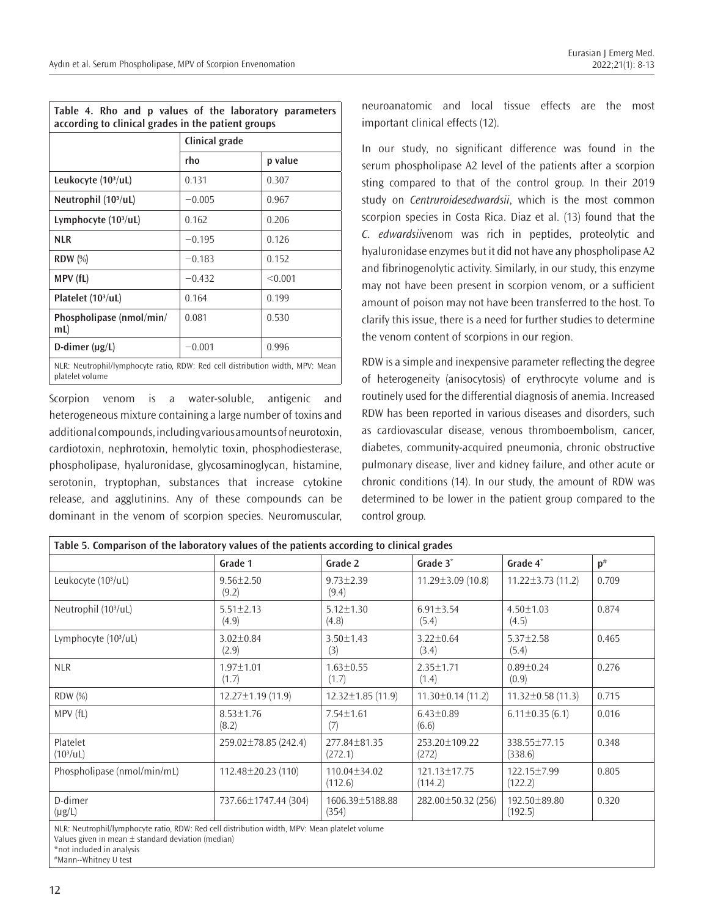| Table 4. Rho and p values of the laboratory parameters<br>according to clinical grades in the patient groups                                                                                                                   |                |         |  |  |
|--------------------------------------------------------------------------------------------------------------------------------------------------------------------------------------------------------------------------------|----------------|---------|--|--|
|                                                                                                                                                                                                                                | Clinical grade |         |  |  |
|                                                                                                                                                                                                                                | rho            | p value |  |  |
| Leukocyte (10 <sup>3</sup> /uL)                                                                                                                                                                                                | 0.131          | 0.307   |  |  |
| Neutrophil $(103/uL)$                                                                                                                                                                                                          | $-0.005$       | 0.967   |  |  |
| Lymphocyte $(103/uL)$                                                                                                                                                                                                          | 0.162          | 0.206   |  |  |
| <b>NLR</b>                                                                                                                                                                                                                     | $-0.195$       | 0.126   |  |  |
| $RDW$ $(\%)$                                                                                                                                                                                                                   | $-0.183$       | 0.152   |  |  |
| MPV (fL)                                                                                                                                                                                                                       | $-0.432$       | < 0.001 |  |  |
| Platelet (10 <sup>3</sup> /uL)                                                                                                                                                                                                 | 0.164          | 0.199   |  |  |
| Phospholipase (nmol/min/<br>mL                                                                                                                                                                                                 | 0.081          | 0.530   |  |  |
| D-dimer $(\mu g/L)$                                                                                                                                                                                                            | $-0.001$       | 0.996   |  |  |
| A HID ALL THE LETTERS IN THE LATER DOMESTIC HEATHER THE LATER CARDINAL AND A RESIDENCE AND RESIDENCE AND RELEASED FOR THE RESIDENCE AND RELEASED FOR THE RELEASED FOR THE RELEASED FOR THE RELEASED FOR THE RELEASED FOR THE R |                |         |  |  |

NLR: Neutrophil/lymphocyte ratio, RDW: Red cell distribution width, MPV: Mean platelet volume

Scorpion venom is a water-soluble, antigenic and heterogeneous mixture containing a large number of toxins and additional compounds, including various amounts of neurotoxin, cardiotoxin, nephrotoxin, hemolytic toxin, phosphodiesterase, phospholipase, hyaluronidase, glycosaminoglycan, histamine, serotonin, tryptophan, substances that increase cytokine release, and agglutinins. Any of these compounds can be dominant in the venom of scorpion species. Neuromuscular, neuroanatomic and local tissue effects are the most important clinical effects (12).

In our study, no significant difference was found in the serum phospholipase A2 level of the patients after a scorpion sting compared to that of the control group. In their 2019 study on *Centruroidesedwardsii*, which is the most common scorpion species in Costa Rica. Diaz et al. (13) found that the *C. edwardsii*venom was rich in peptides, proteolytic and hyaluronidase enzymes but it did not have any phospholipase A2 and fibrinogenolytic activity. Similarly, in our study, this enzyme may not have been present in scorpion venom, or a sufficient amount of poison may not have been transferred to the host. To clarify this issue, there is a need for further studies to determine the venom content of scorpions in our region.

RDW is a simple and inexpensive parameter reflecting the degree of heterogeneity (anisocytosis) of erythrocyte volume and is routinely used for the differential diagnosis of anemia. Increased RDW has been reported in various diseases and disorders, such as cardiovascular disease, venous thromboembolism, cancer, diabetes, community-acquired pneumonia, chronic obstructive pulmonary disease, liver and kidney failure, and other acute or chronic conditions (14). In our study, the amount of RDW was determined to be lower in the patient group compared to the control group.

| Table 5. Comparison of the laboratory values of the patients according to clinical grades     |                          |                          |                          |                          |          |
|-----------------------------------------------------------------------------------------------|--------------------------|--------------------------|--------------------------|--------------------------|----------|
|                                                                                               | Grade 1                  | Grade 2                  | Grade 3*                 | Grade 4*                 | $p^{\#}$ |
| Leukocyte (10 <sup>3</sup> /uL)                                                               | $9.56 \pm 2.50$<br>(9.2) | $9.73 \pm 2.39$<br>(9.4) | $11.29 \pm 3.09$ (10.8)  | $11.22 \pm 3.73$ (11.2)  | 0.709    |
| Neutrophil (10 <sup>3</sup> /uL)                                                              | $5.51 \pm 2.13$<br>(4.9) | $5.12 + 1.30$<br>(4.8)   | $6.91 \pm 3.54$<br>(5.4) | $4.50 + 1.03$<br>(4.5)   | 0.874    |
| Lymphocyte (10 <sup>3</sup> /uL)                                                              | $3.02 \pm 0.84$<br>(2.9) | $3.50 \pm 1.43$<br>(3)   | $3.22 \pm 0.64$<br>(3.4) | $5.37 \pm 2.58$<br>(5.4) | 0.465    |
| <b>NLR</b>                                                                                    | $1.97 \pm 1.01$<br>(1.7) | $1.63 \pm 0.55$<br>(1.7) | $2.35 \pm 1.71$<br>(1.4) | $0.89 + 0.24$<br>(0.9)   | 0.276    |
| <b>RDW</b> (%)                                                                                | $12.27 \pm 1.19$ (11.9)  | $12.32 \pm 1.85$ (11.9)  | $11.30 \pm 0.14$ (11.2)  | $11.32 \pm 0.58$ (11.3)  | 0.715    |
| MPV (fL)                                                                                      | $8.53 \pm 1.76$<br>(8.2) | $7.54 \pm 1.61$<br>(7)   | $6.43 \pm 0.89$<br>(6.6) | $6.11 \pm 0.35$ (6.1)    | 0.016    |
| Platelet<br>(10 <sup>3</sup> /uL)                                                             | 259.02±78.85 (242.4)     | 277.84±81.35<br>(272.1)  | 253.20±109.22<br>(272)   | 338.55±77.15<br>(338.6)  | 0.348    |
| Phospholipase (nmol/min/mL)                                                                   | 112.48±20.23 (110)       | 110.04±34.02<br>(112.6)  | 121.13±17.75<br>(114.2)  | 122.15±7.99<br>(122.2)   | 0.805    |
| D-dimer<br>$(\mu g/L)$                                                                        | 737.66±1747.44 (304)     | 1606.39±5188.88<br>(354) | 282.00±50.32 (256)       | 192.50±89.80<br>(192.5)  | 0.320    |
| NLR: Neutrophil/lymphocyte ratio, RDW: Red cell distribution width, MPV: Mean platelet volume |                          |                          |                          |                          |          |

Values given in mean  $\pm$  standard deviation (median)

\*not included in analysis

#Mann--Whitney U test